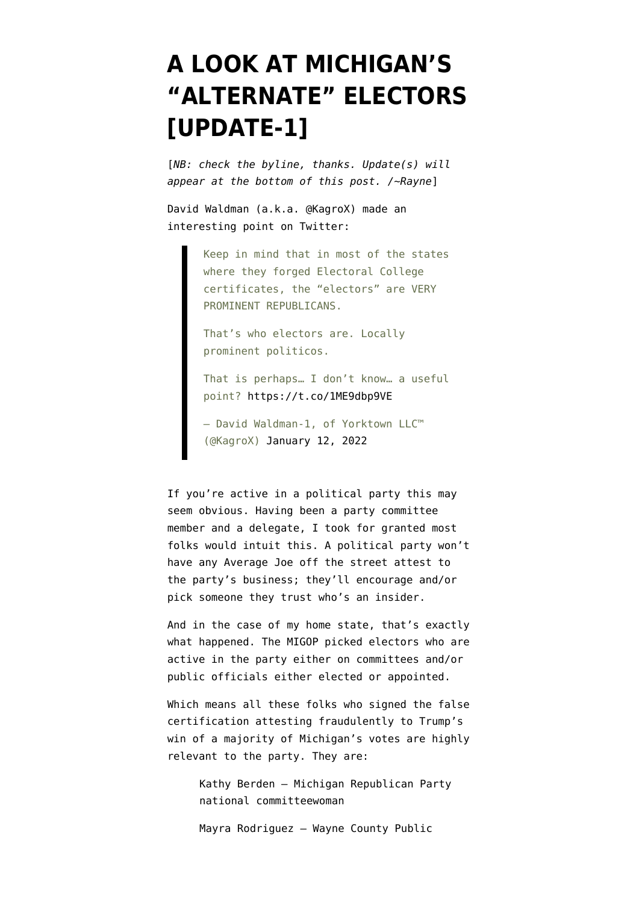## **[A LOOK AT MICHIGAN'S](https://www.emptywheel.net/2022/01/12/a-look-at-michigans-alternate-electors/) ["ALTERNATE" ELECTORS](https://www.emptywheel.net/2022/01/12/a-look-at-michigans-alternate-electors/) [\[UPDATE-1\]](https://www.emptywheel.net/2022/01/12/a-look-at-michigans-alternate-electors/)**

[*NB: check the byline, thanks. Update(s) will appear at the bottom of this post. /~Rayne*]

David Waldman (a.k.a. @KagroX) made an interesting point on Twitter:

> Keep in mind that in most of the states where they forged Electoral College certificates, the "electors" are VERY PROMINENT REPUBLICANS.

That's who electors are. Locally prominent politicos.

That is perhaps… I don't know… a useful point? <https://t.co/1ME9dbp9VE>

— David Waldman-1, of Yorktown LLC™ (@KagroX) [January 12, 2022](https://twitter.com/KagroX/status/1481323356683227147?ref_src=twsrc%5Etfw)

If you're active in a political party this may seem obvious. Having been a party committee member and a delegate, I took for granted most folks would intuit this. A political party won't have any Average Joe off the street attest to the party's business; they'll encourage and/or pick someone they trust who's an insider.

And in the case of my home state, that's exactly what happened. The MIGOP picked electors who are active in the party either on committees and/or public officials either elected or appointed.

Which means all these folks who [signed the false](https://www.politico.com/f/?id=0000017e-3677-d41e-afff-fe7f35620000) [certification](https://www.politico.com/f/?id=0000017e-3677-d41e-afff-fe7f35620000) attesting fraudulently to Trump's win of a majority of Michigan's votes are highly relevant to the party. They are:

Kathy Berden – Michigan Republican Party national committeewoman

Mayra Rodriguez – Wayne County Public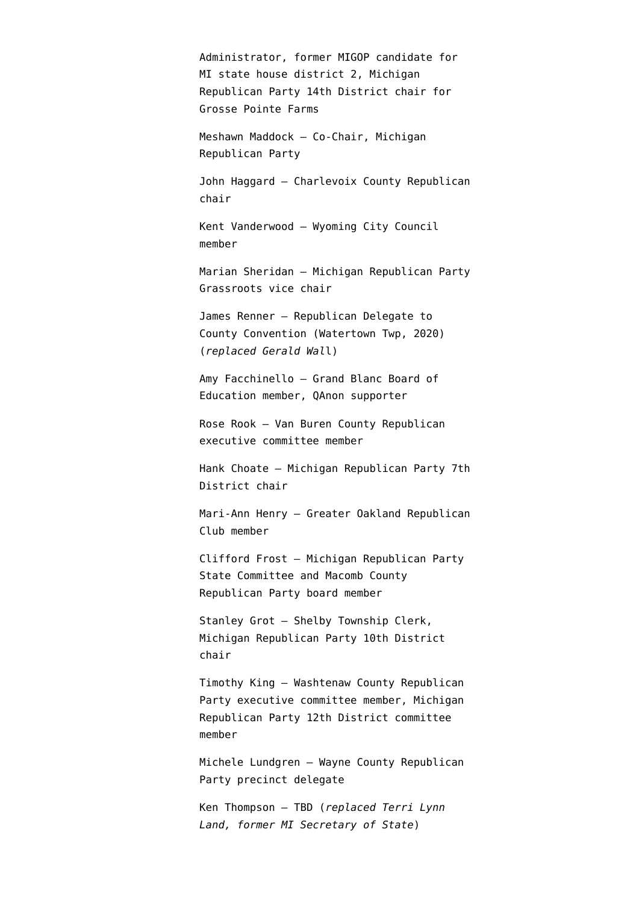Administrator, former MIGOP candidate for MI state house district 2, Michigan Republican Party 14th District chair for Grosse Pointe Farms

Meshawn Maddock – Co-Chair, Michigan Republican Party

John Haggard – Charlevoix County Republican chair

Kent Vanderwood – Wyoming City Council member

Marian Sheridan – Michigan Republican Party Grassroots vice chair

James Renner – Republican Delegate to County Convention (Watertown Twp, 2020) (*replaced Gerald Wal*l)

Amy Facchinello – Grand Blanc Board of Education member, QAnon supporter

Rose Rook – Van Buren County Republican executive committee member

Hank Choate – Michigan Republican Party 7th District chair

Mari-Ann Henry – Greater Oakland Republican Club member

Clifford Frost – Michigan Republican Party State Committee and Macomb County Republican Party board member

Stanley Grot – Shelby Township Clerk, Michigan Republican Party 10th District chair

Timothy King – Washtenaw County Republican Party executive committee member, Michigan Republican Party 12th District committee member

Michele Lundgren – Wayne County Republican Party precinct delegate

Ken Thompson – TBD (*replaced Terri Lynn Land, former MI Secretary of State*)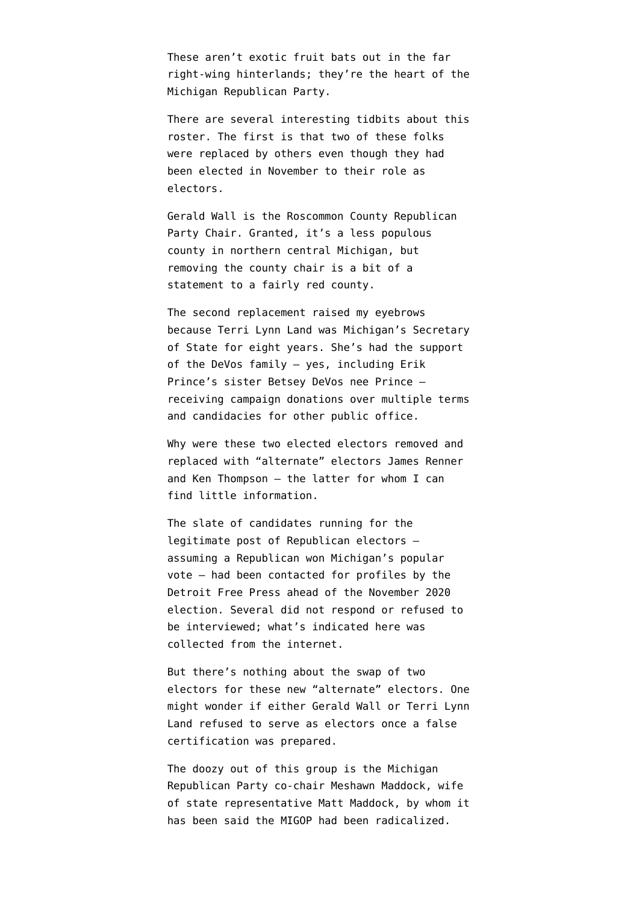These aren't exotic fruit bats out in the far right-wing hinterlands; they're the heart of the Michigan Republican Party.

There are several interesting tidbits about this roster. The first is that two of these folks were replaced by others even though they had been elected in November to their role as electors.

Gerald Wall is the Roscommon County Republican Party Chair. Granted, it's a less populous county in northern central Michigan, but removing the county chair is a bit of a statement to a fairly red county.

The second replacement raised my eyebrows because [Terri Lynn Land](https://en.wikipedia.org/wiki/Terri_Lynn_Land) was Michigan's Secretary of State for eight years. She's had the support of the DeVos family — yes, including Erik Prince's sister Betsey DeVos nee Prince receiving campaign donations over multiple terms and candidacies for other public office.

Why were these two elected electors removed and replaced with "alternate" electors James Renner and Ken Thompson — the latter for whom I can find little information.

The slate of candidates running for the legitimate post of Republican electors assuming a Republican won Michigan's popular vote — had been contacted for [profiles by the](https://www.freep.com/story/news/local/michigan/detroit/2020/11/04/who-michigans-electors/6047750002/) [Detroit Free Press](https://www.freep.com/story/news/local/michigan/detroit/2020/11/04/who-michigans-electors/6047750002/) ahead of the November 2020 election. Several did not respond or refused to be interviewed; what's indicated here was collected from the internet.

But there's nothing about the swap of two electors for these new "alternate" electors. One might wonder if either Gerald Wall or Terri Lynn Land refused to serve as electors once a false certification was prepared.

The doozy out of this group is the Michigan Republican Party co-chair Meshawn Maddock, wife of state representative Matt Maddock, by whom it has been said the MIGOP had been radicalized.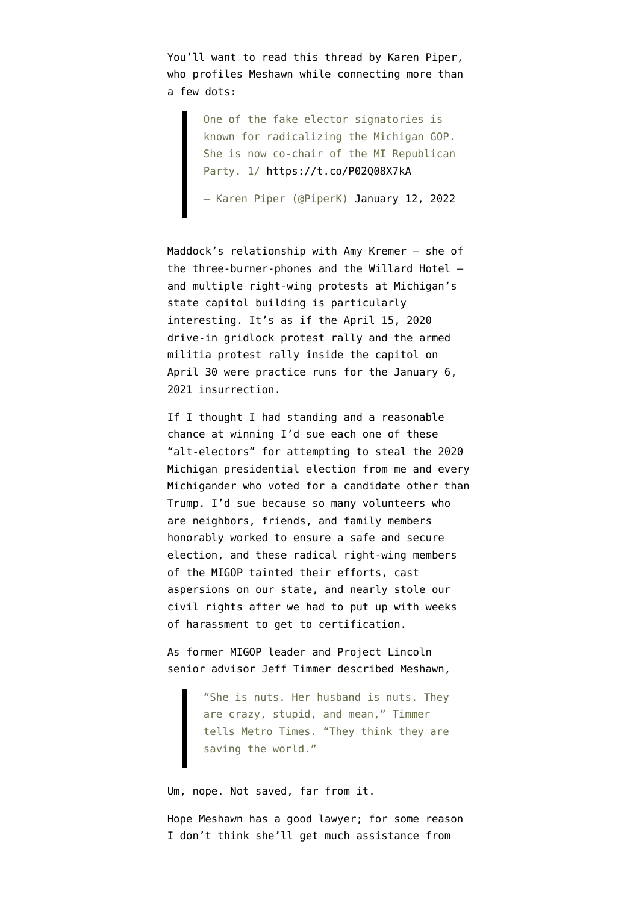You'll want to read this thread by Karen Piper, who profiles Meshawn while connecting more than a few dots:

> One of the fake elector signatories is known for radicalizing the Michigan GOP. She is now co-chair of the MI Republican Party. 1/<https://t.co/P02Q08X7kA>

> — Karen Piper (@PiperK) [January 12, 2022](https://twitter.com/PiperK/status/1481357844976857088?ref_src=twsrc%5Etfw)

Maddock's relationship with Amy Kremer — she of the three-burner-phones and the Willard Hotel and multiple right-wing protests at Michigan's state capitol building is particularly interesting. It's as if the April 15, 2020 drive-in gridlock protest rally and the armed militia protest rally inside the capitol on April 30 were practice runs for the January 6, 2021 insurrection.

If I thought I had standing and a reasonable chance at winning I'd sue each one of these "alt-electors" for attempting to steal the 2020 Michigan presidential election from me and every Michigander who voted for a candidate other than Trump. I'd sue because so many volunteers who are neighbors, friends, and family members honorably worked to ensure a safe and secure election, and these radical right-wing members of the MIGOP tainted their efforts, cast aspersions on our state, and nearly stole our civil rights after we had to put up with weeks of harassment to get to certification.

As former MIGOP leader and [Project Lincoln](https://twitter.com/jefftimmer) [senior advisor](https://twitter.com/jefftimmer) Jeff Timmer [described Meshawn](https://www.metrotimes.com/detroit/how-a-michigan-couple-radicalized-the-states-gop-and-emboldened-insurrectionists/Content?oid=26461313),

> "She is nuts. Her husband is nuts. They are crazy, stupid, and mean," Timmer tells Metro Times. "They think they are saving the world."

Um, nope. Not saved, far from it.

Hope Meshawn has a good lawyer; for some reason I don't think she'll get much assistance from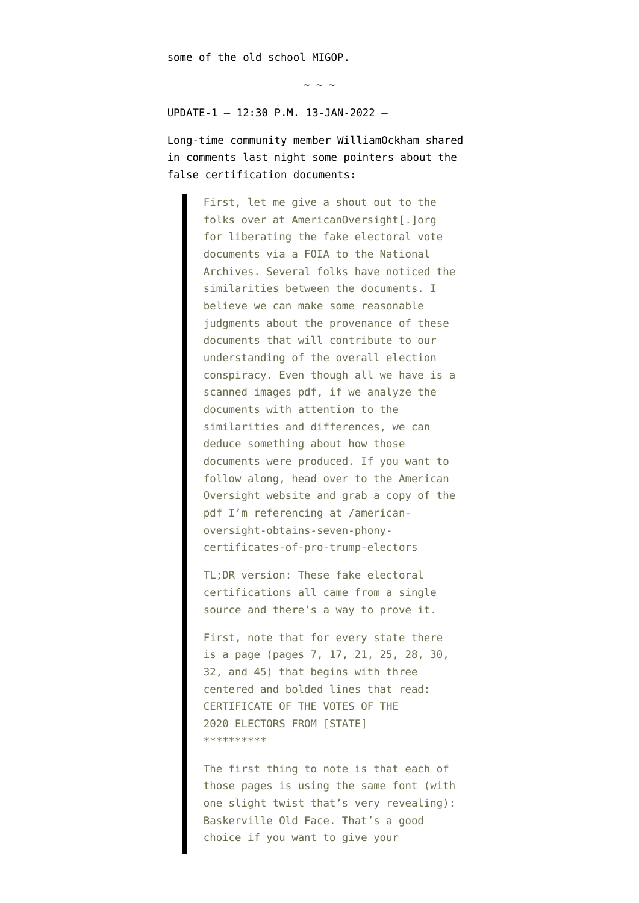some of the old school MIGOP.

 $\sim$  ~ ~

UPDATE-1 — 12:30 P.M. 13-JAN-2022 —

Long-time community member WilliamOckham shared in comments last night some pointers about the false certification documents:

> First, let me give a shout out to the folks over at AmericanOversight[.]org for liberating the fake electoral vote documents via a FOIA to the National Archives. Several folks have noticed the similarities between the documents. I believe we can make some reasonable judgments about the provenance of these documents that will contribute to our understanding of the overall election conspiracy. Even though all we have is a scanned images pdf, if we analyze the documents with attention to the similarities and differences, we can deduce something about how those documents were produced. If you want to follow along, head over to the American Oversight website and grab a copy of the pdf I'm referencing at /americanoversight-obtains-seven-phonycertificates-of-pro-trump-electors

TL;DR version: These fake electoral certifications all came from a single source and there's a way to prove it.

First, note that for every state there is a page (pages 7, 17, 21, 25, 28, 30, 32, and 45) that begins with three centered and bolded lines that read: CERTIFICATE OF THE VOTES OF THE 2020 ELECTORS FROM [STATE] \*\*\*\*\*\*\*\*\*\*

The first thing to note is that each of those pages is using the same font (with one slight twist that's very revealing): Baskerville Old Face. That's a good choice if you want to give your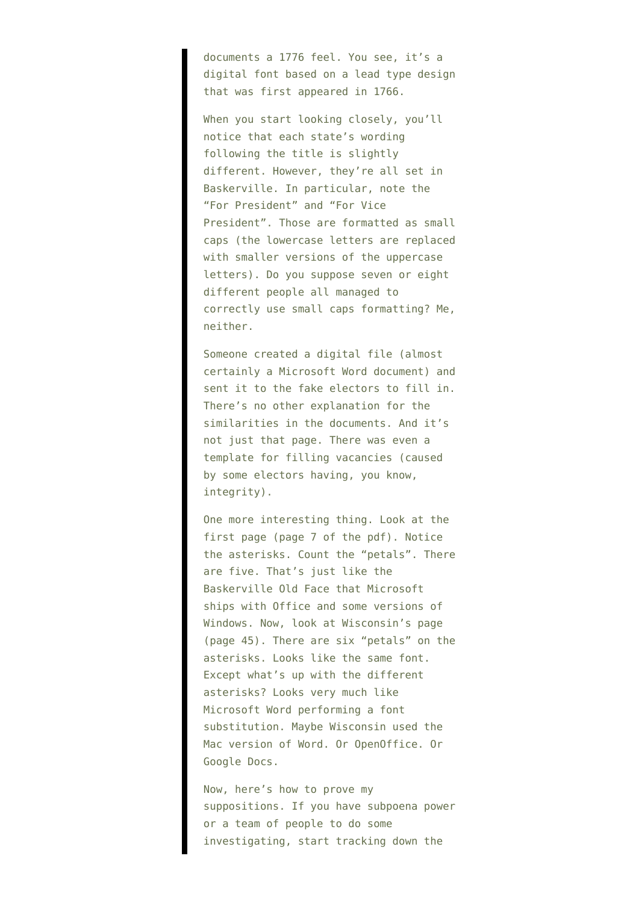documents a 1776 feel. You see, it's a digital font based on a lead type design that was first appeared in 1766.

When you start looking closely, you'll notice that each state's wording following the title is slightly different. However, they're all set in Baskerville. In particular, note the "For President" and "For Vice President". Those are formatted as small caps (the lowercase letters are replaced with smaller versions of the uppercase letters). Do you suppose seven or eight different people all managed to correctly use small caps formatting? Me, neither.

Someone created a digital file (almost certainly a Microsoft Word document) and sent it to the fake electors to fill in. There's no other explanation for the similarities in the documents. And it's not just that page. There was even a template for filling vacancies (caused by some electors having, you know, integrity).

One more interesting thing. Look at the first page (page 7 of the pdf). Notice the asterisks. Count the "petals". There are five. That's just like the Baskerville Old Face that Microsoft ships with Office and some versions of Windows. Now, look at Wisconsin's page (page 45). There are six "petals" on the asterisks. Looks like the same font. Except what's up with the different asterisks? Looks very much like Microsoft Word performing a font substitution. Maybe Wisconsin used the Mac version of Word. Or OpenOffice. Or Google Docs.

Now, here's how to prove my suppositions. If you have subpoena power or a team of people to do some investigating, start tracking down the